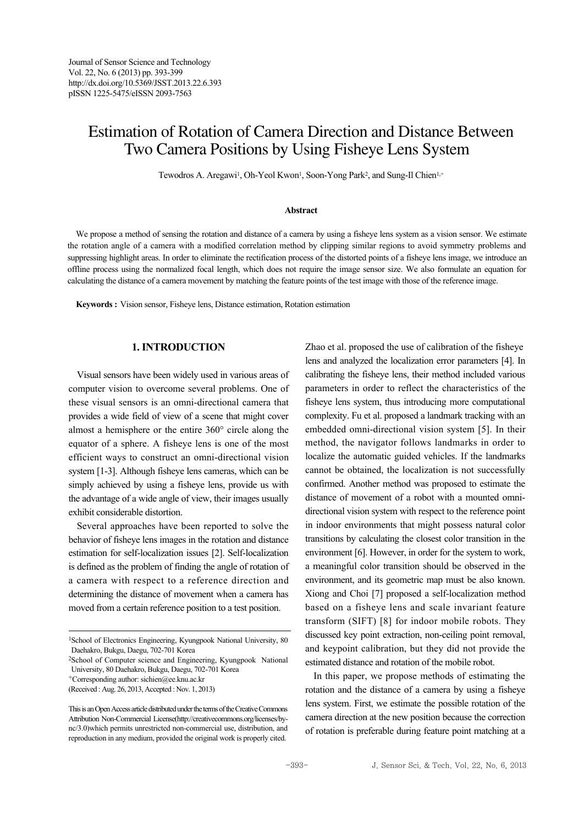# Estimation of Rotation of Camera Direction and Distance Between Two Camera Positions by Using Fisheye Lens System

Tewodros A. Aregawi<sup>1</sup>, Oh-Yeol Kwon<sup>1</sup>, Soon-Yong Park<sup>2</sup>, and Sung-Il Chien<sup>1,+</sup>

#### **Abstract**

We propose a method of sensing the rotation and distance of a camera by using a fisheye lens system as a vision sensor. We estimate the rotation angle of a camera with a modified correlation method by clipping similar regions to avoid symmetry problems and suppressing highlight areas. In order to eliminate the rectification process of the distorted points of a fisheye lens image, we introduce an offline process using the normalized focal length, which does not require the image sensor size. We also formulate an equation for calculating the distance of a camera movement by matching the feature points of the test image with those of the reference image.

**Keywords :** Vision sensor, Fisheye lens, Distance estimation, Rotation estimation

## **1. INTRODUCTION**

Visual sensors have been widely used in various areas of computer vision to overcome several problems. One of these visual sensors is an omni-directional camera that provides a wide field of view of a scene that might cover almost a hemisphere or the entire 360° circle along the equator of a sphere. A fisheye lens is one of the most efficient ways to construct an omni-directional vision system [1-3]. Although fisheye lens cameras, which can be simply achieved by using a fisheye lens, provide us with the advantage of a wide angle of view, their images usually exhibit considerable distortion.

Several approaches have been reported to solve the behavior of fisheye lens images in the rotation and distance estimation for self-localization issues [2]. Self-localization is defined as the problem of finding the angle of rotation of a camera with respect to a reference direction and determining the distance of movement when a camera has moved from a certain reference position to a test position.

+Corresponding author: sichien@ee.knu.ac.kr

(Received : Aug. 26, 2013, Accepted : Nov. 1, 2013)

Zhao et al. proposed the use of calibration of the fisheye lens and analyzed the localization error parameters [4]. In calibrating the fisheye lens, their method included various parameters in order to reflect the characteristics of the fisheye lens system, thus introducing more computational complexity. Fu et al. proposed a landmark tracking with an embedded omni-directional vision system [5]. In their method, the navigator follows landmarks in order to localize the automatic guided vehicles. If the landmarks cannot be obtained, the localization is not successfully confirmed. Another method was proposed to estimate the distance of movement of a robot with a mounted omnidirectional vision system with respect to the reference point in indoor environments that might possess natural color transitions by calculating the closest color transition in the environment [6]. However, in order for the system to work, a meaningful color transition should be observed in the environment, and its geometric map must be also known. Xiong and Choi [7] proposed a self-localization method based on a fisheye lens and scale invariant feature transform (SIFT) [8] for indoor mobile robots. They discussed key point extraction, non-ceiling point removal, and keypoint calibration, but they did not provide the estimated distance and rotation of the mobile robot.

In this paper, we propose methods of estimating the rotation and the distance of a camera by using a fisheye lens system. First, we estimate the possible rotation of the camera direction at the new position because the correction of rotation is preferable during feature point matching at a

<sup>1</sup>School of Electronics Engineering, Kyungpook National University, 80 Daehakro, Bukgu, Daegu, 702-701 Korea

<sup>2</sup>School of Computer science and Engineering, Kyungpook National University, 80 Daehakro, Bukgu, Daegu, 702-701 Korea

This is an Open Access article distributed under the terms of the Creative Commons Attribution Non-Commercial License(http://creativecommons.org/licenses/bync/3.0)which permits unrestricted non-commercial use, distribution, and reproduction in any medium, provided the original work is properly cited.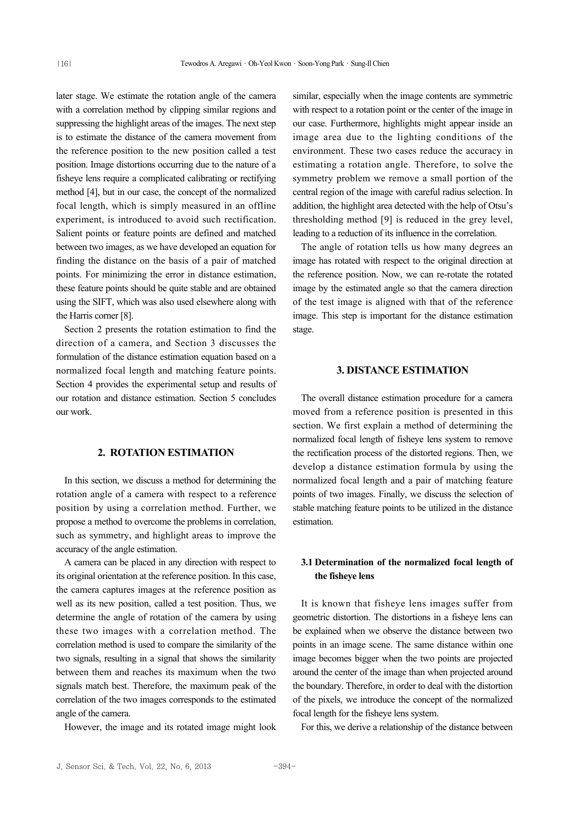later stage. We estimate the rotation angle of the camera with a correlation method by clipping similar regions and suppressing the highlight areas of the images. The next step is to estimate the distance of the camera movement from the reference position to the new position called a test position. Image distortions occurring due to the nature of a fisheye lens require a complicated calibrating or rectifying method [4], but in our case, the concept of the normalized focal length, which is simply measured in an offline experiment, is introduced to avoid such rectification. Salient points or feature points are defined and matched between two images, as we have developed an equation for finding the distance on the basis of a pair of matched points. For minimizing the error in distance estimation, these feature points should be quite stable and are obtained using the SIFT, which was also used elsewhere along with the Harris corner [8].

Section 2 presents the rotation estimation to find the direction of a camera, and Section 3 discusses the formulation of the distance estimation equation based on a normalized focal length and matching feature points. Section 4 provides the experimental setup and results of our rotation and distance estimation. Section 5 concludes our work.

# **2. ROTATION ESTIMATION**

In this section, we discuss a method for determining the rotation angle of a camera with respect to a reference position by using a correlation method. Further, we propose a method to overcome the problems in correlation, such as symmetry, and highlight areas to improve the accuracy of the angle estimation.

A camera can be placed in any direction with respect to its original orientation at the reference position. In this case, the camera captures images at the reference position as well as its new position, called a test position. Thus, we determine the angle of rotation of the camera by using these two images with a correlation method. The correlation method is used to compare the similarity of the two signals, resulting in a signal that shows the similarity between them and reaches its maximum when the two signals match best. Therefore, the maximum peak of the correlation of the two images corresponds to the estimated angle of the camera.

However, the image and its rotated image might look

similar, especially when the image contents are symmetric with respect to a rotation point or the center of the image in our case. Furthermore, highlights might appear inside an image area due to the lighting conditions of the environment. These two cases reduce the accuracy in estimating a rotation angle. Therefore, to solve the symmetry problem we remove a small portion of the central region of the image with careful radius selection. In addition, the highlight area detected with the help of Otsu's thresholding method [9] is reduced in the grey level, leading to a reduction of its influence in the correlation.

The angle of rotation tells us how many degrees an image has rotated with respect to the original direction at the reference position. Now, we can re-rotate the rotated image by the estimated angle so that the camera direction of the test image is aligned with that of the reference image. This step is important for the distance estimation stage.

## **3. DISTANCE ESTIMATION**

The overall distance estimation procedure for a camera moved from a reference position is presented in this section. We first explain a method of determining the normalized focal length of fisheye lens system to remove the rectification process of the distorted regions. Then, we develop a distance estimation formula by using the normalized focal length and a pair of matching feature points of two images. Finally, we discuss the selection of stable matching feature points to be utilized in the distance estimation.

## **3.1 Determination of the normalized focal length of the fisheye lens**

It is known that fisheye lens images suffer from geometric distortion. The distortions in a fisheye lens can be explained when we observe the distance between two points in an image scene. The same distance within one image becomes bigger when the two points are projected around the center of the image than when projected around the boundary. Therefore, in order to deal with the distortion of the pixels, we introduce the concept of the normalized focal length for the fisheye lens system.

For this, we derive a relationship of the distance between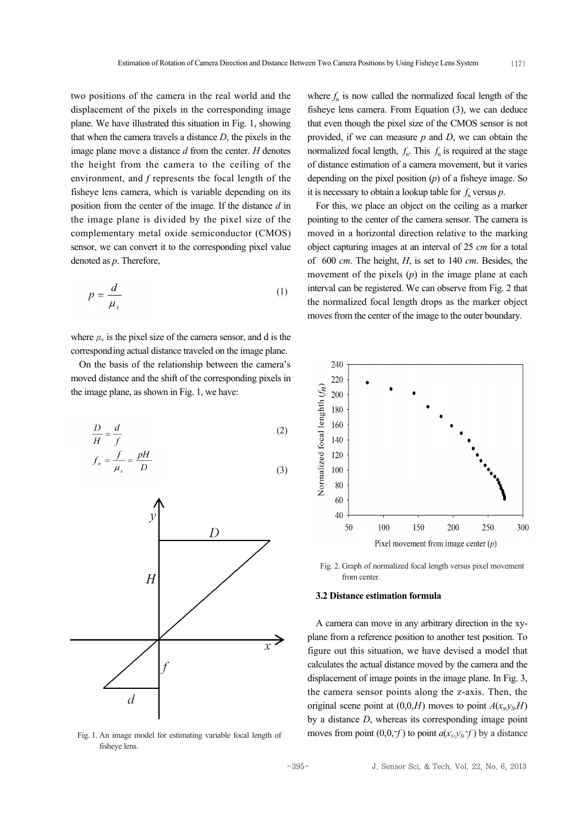|17|

two positions of the camera in the real world and the displacement of the pixels in the corresponding image plane. We have illustrated this situation in Fig. 1, showing that when the camera travels a distance *D*, the pixels in the image plane move a distance *d* from the center. *H* denotes the height from the camera to the ceiling of the environment, and *f* represents the focal length of the fisheye lens camera, which is variable depending on its position from the center of the image. If the distance *d* in the image plane is divided by the pixel size of the complementary metal oxide semiconductor (CMOS) sensor, we can convert it to the corresponding pixel value denoted as *p*. Therefore,

$$
p = \frac{d}{\mu_s} \tag{1}
$$

where  $\mu$ <sub>s</sub> is the pixel size of the camera sensor, and d is the corresponding actual distance traveled on the image plane.

On the basis of the relationship between the camera's moved distance and the shift of the corresponding pixels in the image plane, as shown in Fig. 1, we have:

$$
\frac{D}{H} = \frac{d}{f}
$$
 (2)

$$
f_n = \frac{J}{\mu_s} = \frac{pH}{D} \tag{3}
$$



Fig. 1. An image model for estimating variable focal length of fisheye lens.

where  $f_n$  is now called the normalized focal length of the fisheye lens camera. From Equation (3), we can deduce that even though the pixel size of the CMOS sensor is not provided, if we can measure *p* and *D*, we can obtain the normalized focal length,  $f_n$ . This  $f_n$  is required at the stage of distance estimation of a camera movement, but it varies depending on the pixel position (*p*) of a fisheye image. So it is necessary to obtain a lookup table for  $f_n$  versus  $p$ .

For this, we place an object on the ceiling as a marker pointing to the center of the camera sensor. The camera is moved in a horizontal direction relative to the marking object capturing images at an interval of 25 *cm* for a total of 600 *cm*. The height, *H*, is set to 140 *cm*. Besides, the movement of the pixels (*p*) in the image plane at each interval can be registered. We can observe from Fig. 2 that the normalized focal length drops as the marker object moves from the center of the image to the outer boundary.



Fig. 2. Graph of normalized focal length versus pixel movement from center.

## **3.2 Distance estimation formula**

A camera can move in any arbitrary direction in the xyplane from a reference position to another test position. To figure out this situation, we have devised a model that calculates the actual distance moved by the camera and the displacement of image points in the image plane. In Fig. 3, the camera sensor points along the z-axis. Then, the original scene point at  $(0,0,H)$  moves to point  $A(x_{s}y_{s}H)$ by a distance *D*, whereas its corresponding image point moves from point  $(0,0,-f)$  to point  $a(x_s, y_s - f)$  by a distance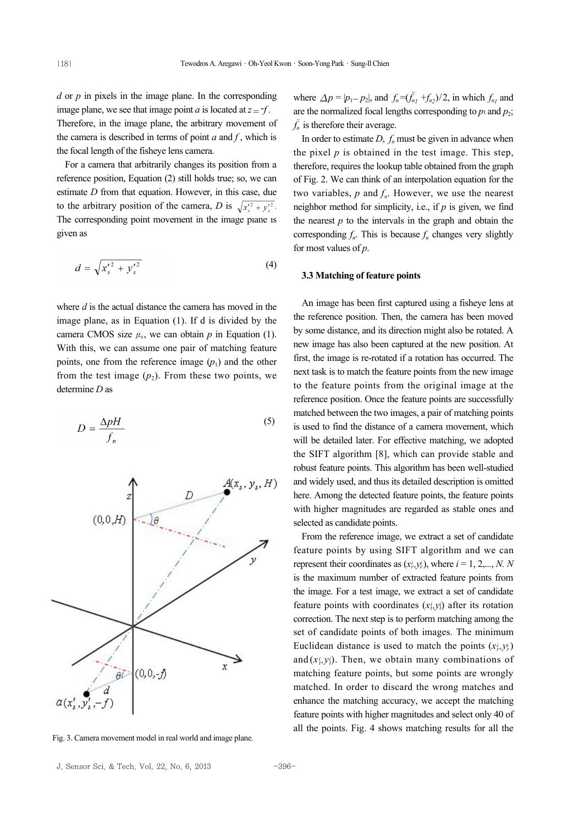*d* or *p* in pixels in the image plane. In the corresponding image plane, we see that image point *a* is located at  $z = -f$ . Therefore, in the image plane, the arbitrary movement of the camera is described in terms of point *a* and *f* , which is the focal length of the fisheye lens camera.

For a camera that arbitrarily changes its position from a reference position, Equation (2) still holds true; so, we can estimate *D* from that equation. However, in this case, due to the arbitrary position of the camera, *D* is  $\sqrt{x'^2 + y'^2}$ . The corresponding point movement in the image plane is given as

$$
d = \sqrt{{x'_s}^2 + {y'_s}^2}
$$
 (4)

where *d* is the actual distance the camera has moved in the image plane, as in Equation (1). If d is divided by the camera CMOS size  $\mu_s$ , we can obtain *p* in Equation (1). With this, we can assume one pair of matching feature points, one from the reference image  $(p_1)$  and the other from the test image  $(p_2)$ . From these two points, we determine *D* as

$$
D = \frac{\Delta pH}{f_n} \tag{5}
$$



Fig. 3. Camera movement model in real world and image plane.

where  $\Delta p = |p_1 - p_2|$ , and  $f_n = (\bar{f}_{n_1} + f_{n_2})/2$ , in which  $f_{n_1}$  and are the normalized focal lengths corresponding to  $p_1$  and  $p_2$ ;  $\overline{f}_n$  is therefore their average.

In order to estimate  $D$ ,  $f_n$  must be given in advance when the pixel  $p$  is obtained in the test image. This step, therefore, requires the lookup table obtained from the graph of Fig. 2. We can think of an interpolation equation for the two variables,  $p$  and  $f_n$ . However, we use the nearest neighbor method for simplicity, i.e., if *p* is given, we find the nearest  $p$  to the intervals in the graph and obtain the corresponding  $f_n$ . This is because  $f_n$  changes very slightly for most values of *p*.

#### **3.3 Matching of feature points**

An image has been first captured using a fisheye lens at the reference position. Then, the camera has been moved by some distance, and its direction might also be rotated. A new image has also been captured at the new position. At first, the image is re-rotated if a rotation has occurred. The next task is to match the feature points from the new image to the feature points from the original image at the reference position. Once the feature points are successfully matched between the two images, a pair of matching points is used to find the distance of a camera movement, which will be detailed later. For effective matching, we adopted the SIFT algorithm [8], which can provide stable and robust feature points. This algorithm has been well-studied and widely used, and thus its detailed description is omitted here. Among the detected feature points, the feature points with higher magnitudes are regarded as stable ones and selected as candidate points.

From the reference image, we extract a set of candidate feature points by using SIFT algorithm and we can represent their coordinates as  $(x_i, y_i)$ , where  $i = 1, 2, \dots, N$ . N is the maximum number of extracted feature points from the image. For a test image, we extract a set of candidate feature points with coordinates  $(x_i, y_i)$  after its rotation correction. The next step is to perform matching among the set of candidate points of both images. The minimum Euclidean distance is used to match the points  $(x_i^i, y_i^i)$ and  $(x_i^i, y_i^i)$ . Then, we obtain many combinations of matching feature points, but some points are wrongly matched. In order to discard the wrong matches and enhance the matching accuracy, we accept the matching feature points with higher magnitudes and select only 40 of all the points. Fig. 4 shows matching results for all the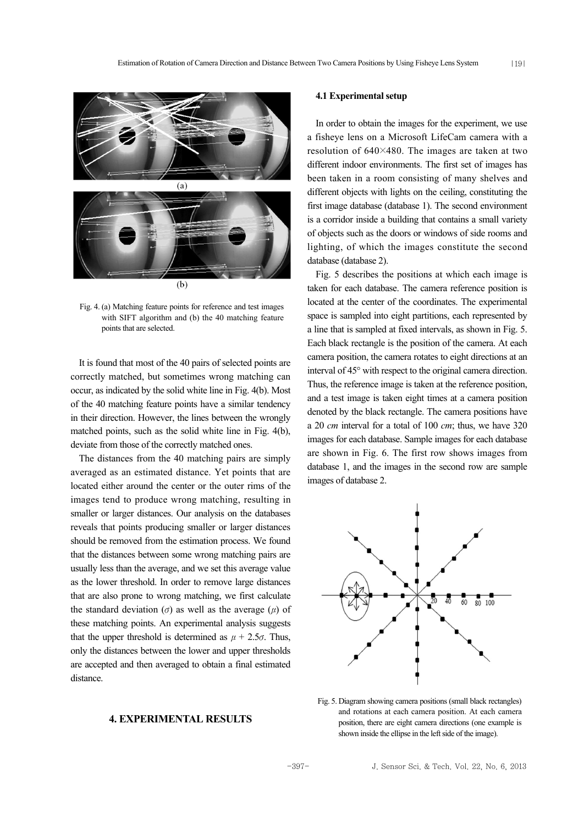

Fig. 4. (a) Matching feature points for reference and test images with SIFT algorithm and (b) the 40 matching feature points that are selected.

It is found that most of the 40 pairs of selected points are correctly matched, but sometimes wrong matching can occur, as indicated by the solid white line in Fig. 4(b). Most of the 40 matching feature points have a similar tendency in their direction. However, the lines between the wrongly matched points, such as the solid white line in Fig. 4(b), deviate from those of the correctly matched ones.

The distances from the 40 matching pairs are simply averaged as an estimated distance. Yet points that are located either around the center or the outer rims of the images tend to produce wrong matching, resulting in smaller or larger distances. Our analysis on the databases reveals that points producing smaller or larger distances should be removed from the estimation process. We found that the distances between some wrong matching pairs are usually less than the average, and we set this average value as the lower threshold. In order to remove large distances that are also prone to wrong matching, we first calculate the standard deviation ( $\sigma$ ) as well as the average ( $\mu$ ) of these matching points. An experimental analysis suggests that the upper threshold is determined as  $\mu + 2.5\sigma$ . Thus, only the distances between the lower and upper thresholds are accepted and then averaged to obtain a final estimated distance.

## **4. EXPERIMENTAL RESULTS**

#### **4.1 Experimental setup**

In order to obtain the images for the experiment, we use a fisheye lens on a Microsoft LifeCam camera with a resolution of 640×480. The images are taken at two different indoor environments. The first set of images has been taken in a room consisting of many shelves and different objects with lights on the ceiling, constituting the first image database (database 1). The second environment is a corridor inside a building that contains a small variety of objects such as the doors or windows of side rooms and lighting, of which the images constitute the second database (database 2).

Fig. 5 describes the positions at which each image is taken for each database. The camera reference position is located at the center of the coordinates. The experimental space is sampled into eight partitions, each represented by a line that is sampled at fixed intervals, as shown in Fig. 5. Each black rectangle is the position of the camera. At each camera position, the camera rotates to eight directions at an interval of 45° with respect to the original camera direction. Thus, the reference image is taken at the reference position, and a test image is taken eight times at a camera position denoted by the black rectangle. The camera positions have a 20 *cm* interval for a total of 100 *cm*; thus, we have 320 images for each database. Sample images for each database are shown in Fig. 6. The first row shows images from database 1, and the images in the second row are sample images of database 2.



Fig. 5. Diagram showing camera positions (small black rectangles) and rotations at each camera position. At each camera position, there are eight camera directions (one example is shown inside the ellipse in the left side of the image).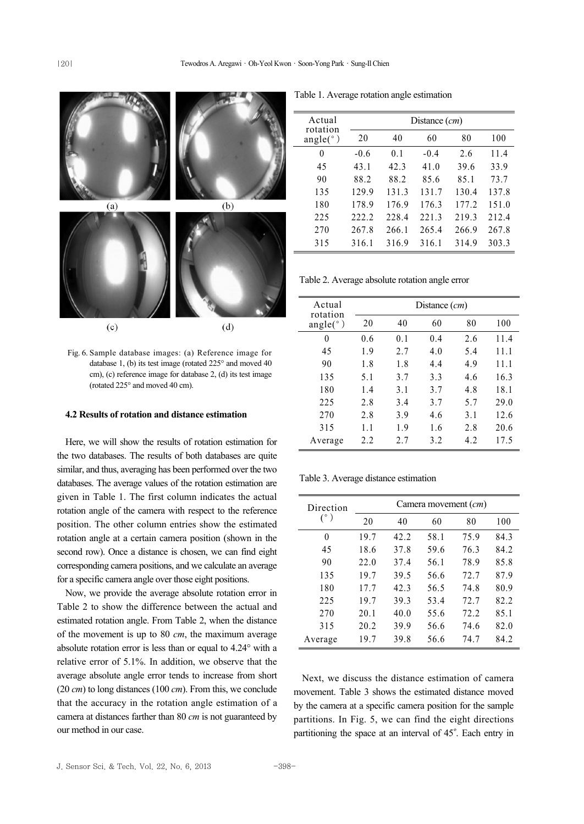

 $(c)$ 

 $(d)$ 

Fig. 6. Sample database images: (a) Reference image for database 1, (b) its test image (rotated 225° and moved 40 cm), (c) reference image for database 2, (d) its test image (rotated 225° and moved 40 cm).

#### **4.2 Results of rotation and distance estimation**

Here, we will show the results of rotation estimation for the two databases. The results of both databases are quite similar, and thus, averaging has been performed over the two databases. The average values of the rotation estimation are given in Table 1. The first column indicates the actual rotation angle of the camera with respect to the reference position. The other column entries show the estimated rotation angle at a certain camera position (shown in the second row). Once a distance is chosen, we can find eight corresponding camera positions, and we calculate an average for a specific camera angle over those eight positions.

Now, we provide the average absolute rotation error in Table 2 to show the difference between the actual and estimated rotation angle. From Table 2, when the distance of the movement is up to 80 *cm*, the maximum average absolute rotation error is less than or equal to 4.24° with a relative error of 5.1%. In addition, we observe that the average absolute angle error tends to increase from short (20 *cm*) to long distances (100 *cm*). From this, we conclude that the accuracy in the rotation angle estimation of a camera at distances farther than 80 *cm* is not guaranteed by our method in our case.

Table 1. Average rotation angle estimation

| Actual<br>rotation<br>angle( $\degree$ ) | Distance $(cm)$ |                |        |       |       |  |
|------------------------------------------|-----------------|----------------|--------|-------|-------|--|
|                                          | 20              | 40             | 60     | 80    | 100   |  |
| 0                                        | $-0.6$          | 0 <sub>1</sub> | $-0.4$ | 2.6   | 11.4  |  |
| 45                                       | 43.1            | 42.3           | 41.0   | 39.6  | 33.9  |  |
| 90                                       | 88.2            | 88.2           | 85.6   | 85.1  | 73.7  |  |
| 135                                      | 129.9           | 131.3          | 131.7  | 130.4 | 137.8 |  |
| 180                                      | 178.9           | 176.9          | 176.3  | 177.2 | 151.0 |  |
| 225                                      | 222.2           | 228.4          | 221.3  | 219.3 | 212.4 |  |
| 270                                      | 267.8           | 266.1          | 265.4  | 266.9 | 267.8 |  |
| 315                                      | 316.1           | 316.9          | 316.1  | 314.9 | 303.3 |  |

Table 2. Average absolute rotation angle error

| Actual<br>rotation<br>angle( $\degree$ ) | Distance $(cm)$ |     |     |     |      |  |
|------------------------------------------|-----------------|-----|-----|-----|------|--|
|                                          | 20              | 40  | 60  | 80  | 100  |  |
| 0                                        | 0.6             | 0.1 | 0.4 | 2.6 | 11.4 |  |
| 45                                       | 1.9             | 2.7 | 4.0 | 5.4 | 11.1 |  |
| 90                                       | 1.8             | 1.8 | 4.4 | 4.9 | 11.1 |  |
| 135                                      | 5.1             | 3.7 | 3.3 | 4.6 | 16.3 |  |
| 180                                      | 1.4             | 3.1 | 3.7 | 4.8 | 18.1 |  |
| 225                                      | 2.8             | 3.4 | 3.7 | 5.7 | 29.0 |  |
| 270                                      | 2.8             | 3.9 | 4.6 | 3.1 | 12.6 |  |
| 315                                      | 1.1             | 1.9 | 1.6 | 2.8 | 20.6 |  |
| Average                                  | 2.2             | 2.7 | 3.2 | 4.2 | 17.5 |  |

Table 3. Average distance estimation

| Direction<br>$(^\circ)$ | Camera movement $(cm)$ |      |      |      |      |
|-------------------------|------------------------|------|------|------|------|
|                         | 20                     | 40   | 60   | 80   | 100  |
| $\theta$                | 19.7                   | 42.2 | 58.1 | 75.9 | 84.3 |
| 45                      | 18.6                   | 37.8 | 59.6 | 76.3 | 84.2 |
| 90                      | 22.0                   | 37.4 | 56.1 | 78.9 | 85.8 |
| 135                     | 19.7                   | 39.5 | 56.6 | 72.7 | 87.9 |
| 180                     | 17.7                   | 42.3 | 56.5 | 74.8 | 80.9 |
| 225                     | 19.7                   | 39.3 | 53.4 | 72.7 | 82.2 |
| 270                     | 20.1                   | 40.0 | 55.6 | 72.2 | 85.1 |
| 315                     | 20.2                   | 39.9 | 56.6 | 74.6 | 82.0 |
| Average                 | 19.7                   | 39.8 | 56.6 | 74.7 | 84.2 |

Next, we discuss the distance estimation of camera movement. Table 3 shows the estimated distance moved by the camera at a specific camera position for the sample partitions. In Fig. 5, we can find the eight directions partitioning the space at an interval of 45º. Each entry in